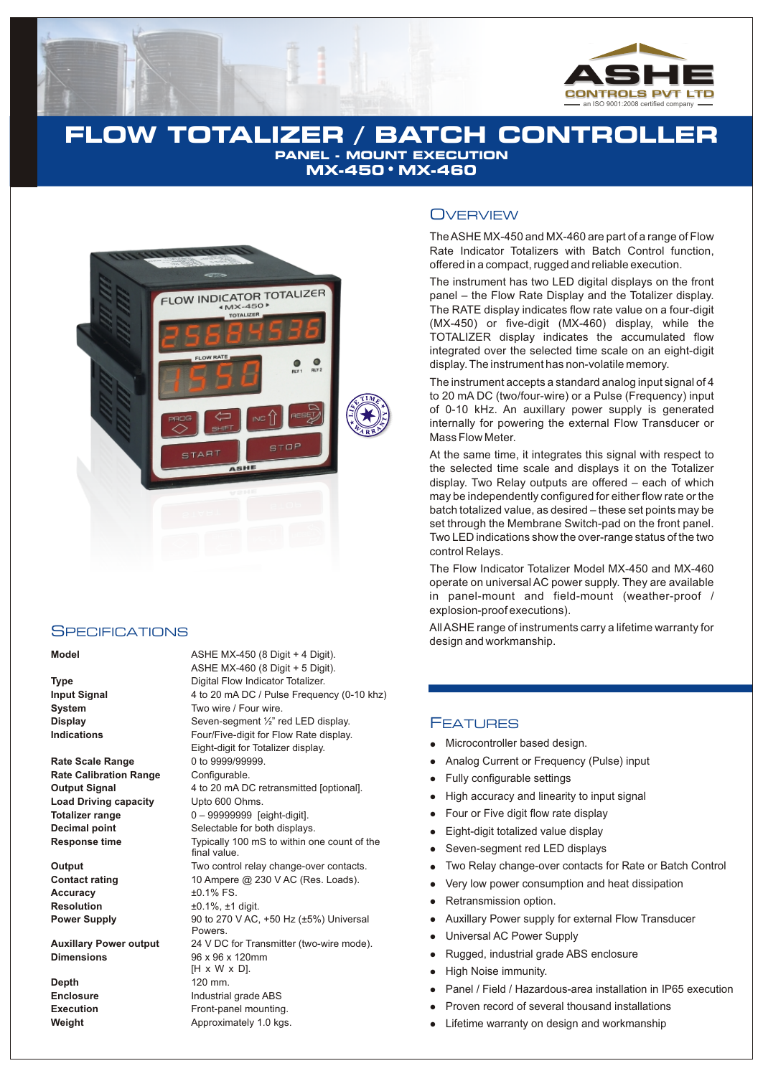

## **FLOW TOTALIZER / BATCH CONTROLLER PANEL - MOUNT EXECUTION MX-450 MX-460**



#### **SPECIFICATIONS**

#### **Model Model ASHE MX-450 (8 Digit + 4 Digit).**

**Rate Scale Range** 0 to 9999/99999.<br> **Rate Calibration Range** Configurable. **Rate Calibration Range Load Driving capacity** Upto 600 Ohms.

Accuracy  $\pm 0.1\%$  FS. **Resolution**  $\pm 0.1\%$ ,  $\pm 1$  digit.

**Dimensions** 96 x 96 x 120mm

**Depth** 120 mm.

ASHE MX-460 (8 Digit + 5 Digit). **Type** Digital Flow Indicator Totalizer. **Input Signal** 4 to 20 mA DC / Pulse Frequency (0-10 khz)<br> **System** 5ystem 5ystem Two wire / Four wire. Two wire / Four wire. **Display** Seven-segment 1/2" red LED display. **Indications Four/Five-digit for Flow Rate display.** Eight-digit for Totalizer display. **Output Signal** 4 to 20 mA DC retransmitted [optional]. **Totalizer range** 0 – 99999999 [eight-digit]. **Decimal point** Selectable for both displays. **Response time** Typically 100 mS to within one count of the final value. **Output** Two control relay change-over contacts. **Contact rating** 10 Ampere @ 230 V AC (Res. Loads). **Power Supply** 90 to 270 V AC, +50 Hz (±5%) Universal Powers. **Auxillary Power output** 24 V DC for Transmitter (two-wire mode). [H x W x D]. **Enclosure** Industrial grade ABS **Execution Execution Front-panel mounting. Weight Approximately 1.0 kgs.** 

#### **OVERVIEW**

The ASHE MX-450 and MX-460 are part of a range of Flow Rate Indicator Totalizers with Batch Control function, offered in a compact, rugged and reliable execution.

The instrument has two LED digital displays on the front panel – the Flow Rate Display and the Totalizer display. The RATE display indicates flow rate value on a four-digit (MX-450) or five-digit (MX-460) display, while the TOTALIZER display indicates the accumulated flow integrated over the selected time scale on an eight-digit display. The instrument has non-volatile memory.

The instrument accepts a standard analog input signal of 4 to 20 mA DC (two/four-wire) or a Pulse (Frequency) input of 0-10 kHz. An auxillary power supply is generated internally for powering the external Flow Transducer or Mass Flow Meter.

At the same time, it integrates this signal with respect to the selected time scale and displays it on the Totalizer display. Two Relay outputs are offered – each of which may be independently configured for either flow rate or the batch totalized value, as desired – these set points may be set through the Membrane Switch-pad on the front panel. Two LED indications show the over-range status of the two control Relays.

The Flow Indicator Totalizer Model MX-450 and MX-460 operate on universal AC power supply. They are available in panel-mount and field-mount (weather-proof / explosion-proof executions).

All ASHE range of instruments carry a lifetime warranty for design and workmanship.

#### FEATURES

- Microcontroller based design.
- Analog Current or Frequency (Pulse) input
- llller Anal<br>
lllly High<br>
llly High<br>
lllulls High<br>
llulls Sevi<br>
llulliver Retraining<br>
llulliver High<br>
lluller Panal<br>
ligh<br>
ligh<br>
ligh<br>
ligh<br>
ligh<br>
ligh<br>
ligh<br>
ligh<br>
ligh<br>
ligh<br>
ligh<br>
ligh<br>
ligh<br>
ligh<br>
ligh<br>
ligh<br>
ligh Fully configurable settings  $\bullet$
- High accuracy and linearity to input signal
- Four or Five digit flow rate display
- Eight-digit totalized value display
- Seven-segment red LED displays
- Two Relay change-over contacts for Rate or Batch Control
- Very low power consumption and heat dissipation
- Retransmission option.
- Auxillary Power supply for external Flow Transducer
- Universal AC Power Supply  $\bullet$
- Rugged, industrial grade ABS enclosure
- High Noise immunity.
- Panel / Field / Hazardous-area installation in IP65 execution
- Proven record of several thousand installations
- Lifetime warranty on design and workmanship